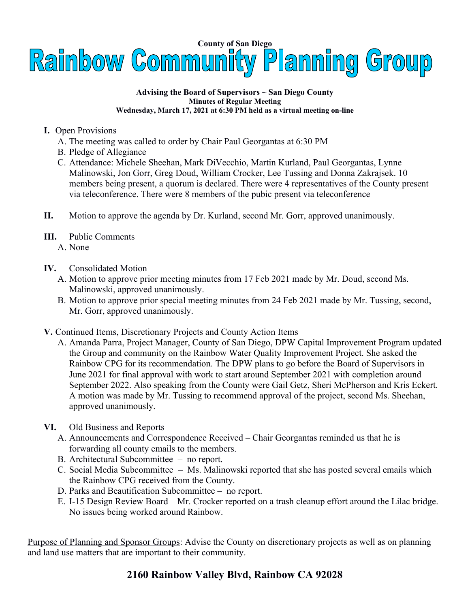

## **Advising the Board of Supervisors ~ San Diego County Minutes of Regular Meeting Wednesday, March 17, 2021 at 6:30 PM held as a virtual meeting on-line**

- **I.** Open Provisions
	- A. The meeting was called to order by Chair Paul Georgantas at 6:30 PM
	- B. Pledge of Allegiance
	- C. Attendance: Michele Sheehan, Mark DiVecchio, Martin Kurland, Paul Georgantas, Lynne Malinowski, Jon Gorr, Greg Doud, William Crocker, Lee Tussing and Donna Zakrajsek. 10 members being present, a quorum is declared. There were 4 representatives of the County present via teleconference. There were 8 members of the pubic present via teleconference
- **II.** Motion to approve the agenda by Dr. Kurland, second Mr. Gorr, approved unanimously.
- **III.** Public Comments
	- A. None
- **IV.** Consolidated Motion
	- A. Motion to approve prior meeting minutes from 17 Feb 2021 made by Mr. Doud, second Ms. Malinowski, approved unanimously.
	- B. Motion to approve prior special meeting minutes from 24 Feb 2021 made by Mr. Tussing, second, Mr. Gorr, approved unanimously.
- **V.** Continued Items, Discretionary Projects and County Action Items
	- A. Amanda Parra, Project Manager, County of San Diego, DPW Capital Improvement Program updated the Group and community on the Rainbow Water Quality Improvement Project. She asked the Rainbow CPG for its recommendation. The DPW plans to go before the Board of Supervisors in June 2021 for final approval with work to start around September 2021 with completion around September 2022. Also speaking from the County were Gail Getz, Sheri McPherson and Kris Eckert. A motion was made by Mr. Tussing to recommend approval of the project, second Ms. Sheehan, approved unanimously.
- **VI.** Old Business and Reports
	- A. Announcements and Correspondence Received Chair Georgantas reminded us that he is forwarding all county emails to the members.
	- B. Architectural Subcommittee no report.
	- C. Social Media Subcommittee Ms. Malinowski reported that she has posted several emails which the Rainbow CPG received from the County.
	- D. Parks and Beautification Subcommittee no report.
	- E. I-15 Design Review Board Mr. Crocker reported on a trash cleanup effort around the Lilac bridge. No issues being worked around Rainbow.

Purpose of Planning and Sponsor Groups: Advise the County on discretionary projects as well as on planning and land use matters that are important to their community.

## **2160 Rainbow Valley Blvd, Rainbow CA 92028**